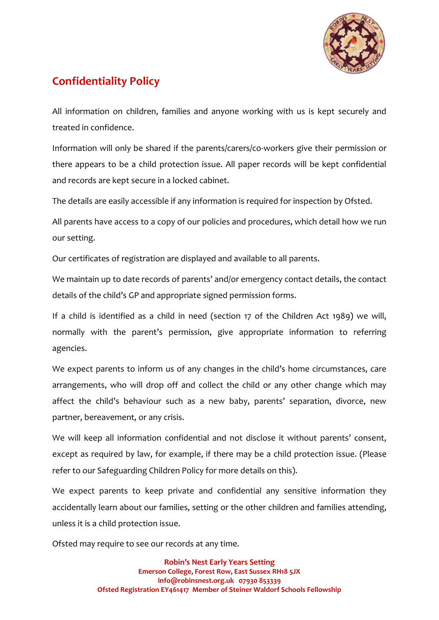

## **Confidentiality Policy**

All information on children, families and anyone working with us is kept securely and treated in confidence.

Information will only be shared if the parents/carers/co-workers give their permission or there appears to be a child protection issue. All paper records will be kept confidential and records are kept secure in a locked cabinet.

The details are easily accessible if any information is required for inspection by Ofsted.

All parents have access to a copy of our policies and procedures, which detail how we run our setting.

Our certificates of registration are displayed and available to all parents.

We maintain up to date records of parents' and/or emergency contact details, the contact details of the child's GP and appropriate signed permission forms.

If a child is identified as a child in need (section 17 of the Children Act 1989) we will, normally with the parent's permission, give appropriate information to referring agencies.

We expect parents to inform us of any changes in the child's home circumstances, care arrangements, who will drop off and collect the child or any other change which may affect the child's behaviour such as a new baby, parents' separation, divorce, new partner, bereavement, or any crisis.

We will keep all information confidential and not disclose it without parents' consent, except as required by law, for example, if there may be a child protection issue. (Please refer to our Safeguarding Children Policy for more details on this).

We expect parents to keep private and confidential any sensitive information they accidentally learn about our families, setting or the other children and families attending, unless it is a child protection issue.

Ofsted may require to see our records at any time.